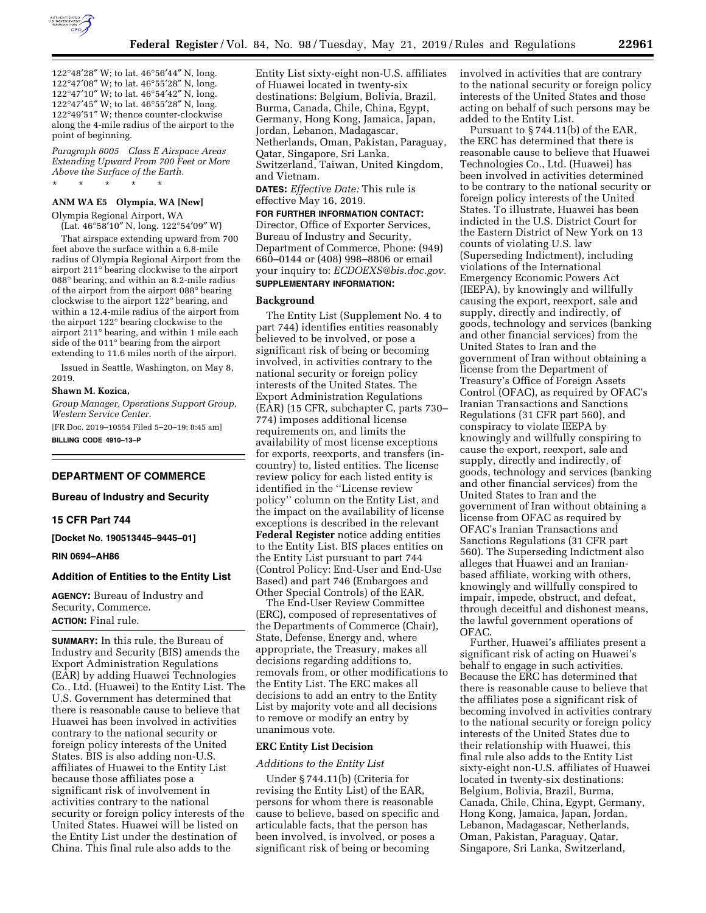

°48′28″ W; to lat. 46°56′44″ N, long. °47′08″ W; to lat. 46°55′28″ N, long. °47′10″ W; to lat. 46°54′42″ N, long. °47′45″ W; to lat. 46°55′28″ N, long. °49′51″ W; thence counter-clockwise along the 4-mile radius of the airport to the point of beginning.

*Paragraph 6005 Class E Airspace Areas Extending Upward From 700 Feet or More Above the Surface of the Earth.*  \* \* \* \* \*

### **ANM WA E5 Olympia, WA [New]**

Olympia Regional Airport, WA (Lat. 46°58′10″ N, long. 122°54′09″ W)

That airspace extending upward from 700 feet above the surface within a 6.8-mile radius of Olympia Regional Airport from the airport 211° bearing clockwise to the airport 088° bearing, and within an 8.2-mile radius of the airport from the airport 088° bearing clockwise to the airport 122° bearing, and within a 12.4-mile radius of the airport from the airport 122° bearing clockwise to the airport 211° bearing, and within 1 mile each side of the 011° bearing from the airport extending to 11.6 miles north of the airport.

Issued in Seattle, Washington, on May 8, 2019.

#### **Shawn M. Kozica,**

*Group Manager, Operations Support Group, Western Service Center.* 

[FR Doc. 2019–10554 Filed 5–20–19; 8:45 am] **BILLING CODE 4910–13–P** 

## **DEPARTMENT OF COMMERCE**

## **Bureau of Industry and Security**

# **15 CFR Part 744**

**[Docket No. 190513445–9445–01]** 

#### **RIN 0694–AH86**

### **Addition of Entities to the Entity List**

**AGENCY:** Bureau of Industry and Security, Commerce. **ACTION:** Final rule.

**SUMMARY:** In this rule, the Bureau of Industry and Security (BIS) amends the Export Administration Regulations (EAR) by adding Huawei Technologies Co., Ltd. (Huawei) to the Entity List. The U.S. Government has determined that there is reasonable cause to believe that Huawei has been involved in activities contrary to the national security or foreign policy interests of the United States. BIS is also adding non-U.S. affiliates of Huawei to the Entity List because those affiliates pose a significant risk of involvement in activities contrary to the national security or foreign policy interests of the United States. Huawei will be listed on the Entity List under the destination of China. This final rule also adds to the

Entity List sixty-eight non-U.S. affiliates of Huawei located in twenty-six destinations: Belgium, Bolivia, Brazil, Burma, Canada, Chile, China, Egypt, Germany, Hong Kong, Jamaica, Japan, Jordan, Lebanon, Madagascar, Netherlands, Oman, Pakistan, Paraguay, Qatar, Singapore, Sri Lanka, Switzerland, Taiwan, United Kingdom, and Vietnam.

**DATES:** *Effective Date:* This rule is effective May 16, 2019.

#### **FOR FURTHER INFORMATION CONTACT:**

Director, Office of Exporter Services, Bureau of Industry and Security, Department of Commerce, Phone: (949) 660–0144 or (408) 998–8806 or email your inquiry to: *[ECDOEXS@bis.doc.gov.](mailto:ECDOEXS@bis.doc.gov)*  **SUPPLEMENTARY INFORMATION:** 

### **Background**

The Entity List (Supplement No. 4 to part 744) identifies entities reasonably believed to be involved, or pose a significant risk of being or becoming involved, in activities contrary to the national security or foreign policy interests of the United States. The Export Administration Regulations (EAR) (15 CFR, subchapter C, parts 730– 774) imposes additional license requirements on, and limits the availability of most license exceptions for exports, reexports, and transfers (incountry) to, listed entities. The license review policy for each listed entity is identified in the ''License review policy'' column on the Entity List, and the impact on the availability of license exceptions is described in the relevant **Federal Register** notice adding entities to the Entity List. BIS places entities on the Entity List pursuant to part 744 (Control Policy: End-User and End-Use Based) and part 746 (Embargoes and Other Special Controls) of the EAR.

The End-User Review Committee (ERC), composed of representatives of the Departments of Commerce (Chair), State, Defense, Energy and, where appropriate, the Treasury, makes all decisions regarding additions to, removals from, or other modifications to the Entity List. The ERC makes all decisions to add an entry to the Entity List by majority vote and all decisions to remove or modify an entry by unanimous vote.

### **ERC Entity List Decision**

#### *Additions to the Entity List*

Under § 744.11(b) (Criteria for revising the Entity List) of the EAR, persons for whom there is reasonable cause to believe, based on specific and articulable facts, that the person has been involved, is involved, or poses a significant risk of being or becoming

involved in activities that are contrary to the national security or foreign policy interests of the United States and those acting on behalf of such persons may be added to the Entity List.

Pursuant to § 744.11(b) of the EAR, the ERC has determined that there is reasonable cause to believe that Huawei Technologies Co., Ltd. (Huawei) has been involved in activities determined to be contrary to the national security or foreign policy interests of the United States. To illustrate, Huawei has been indicted in the U.S. District Court for the Eastern District of New York on 13 counts of violating U.S. law (Superseding Indictment), including violations of the International Emergency Economic Powers Act (IEEPA), by knowingly and willfully causing the export, reexport, sale and supply, directly and indirectly, of goods, technology and services (banking and other financial services) from the United States to Iran and the government of Iran without obtaining a license from the Department of Treasury's Office of Foreign Assets Control (OFAC), as required by OFAC's Iranian Transactions and Sanctions Regulations (31 CFR part 560), and conspiracy to violate IEEPA by knowingly and willfully conspiring to cause the export, reexport, sale and supply, directly and indirectly, of goods, technology and services (banking and other financial services) from the United States to Iran and the government of Iran without obtaining a license from OFAC as required by OFAC's Iranian Transactions and Sanctions Regulations (31 CFR part 560). The Superseding Indictment also alleges that Huawei and an Iranianbased affiliate, working with others, knowingly and willfully conspired to impair, impede, obstruct, and defeat, through deceitful and dishonest means, the lawful government operations of OFAC.

Further, Huawei's affiliates present a significant risk of acting on Huawei's behalf to engage in such activities. Because the ERC has determined that there is reasonable cause to believe that the affiliates pose a significant risk of becoming involved in activities contrary to the national security or foreign policy interests of the United States due to their relationship with Huawei, this final rule also adds to the Entity List sixty-eight non-U.S. affiliates of Huawei located in twenty-six destinations: Belgium, Bolivia, Brazil, Burma, Canada, Chile, China, Egypt, Germany, Hong Kong, Jamaica, Japan, Jordan, Lebanon, Madagascar, Netherlands, Oman, Pakistan, Paraguay, Qatar, Singapore, Sri Lanka, Switzerland,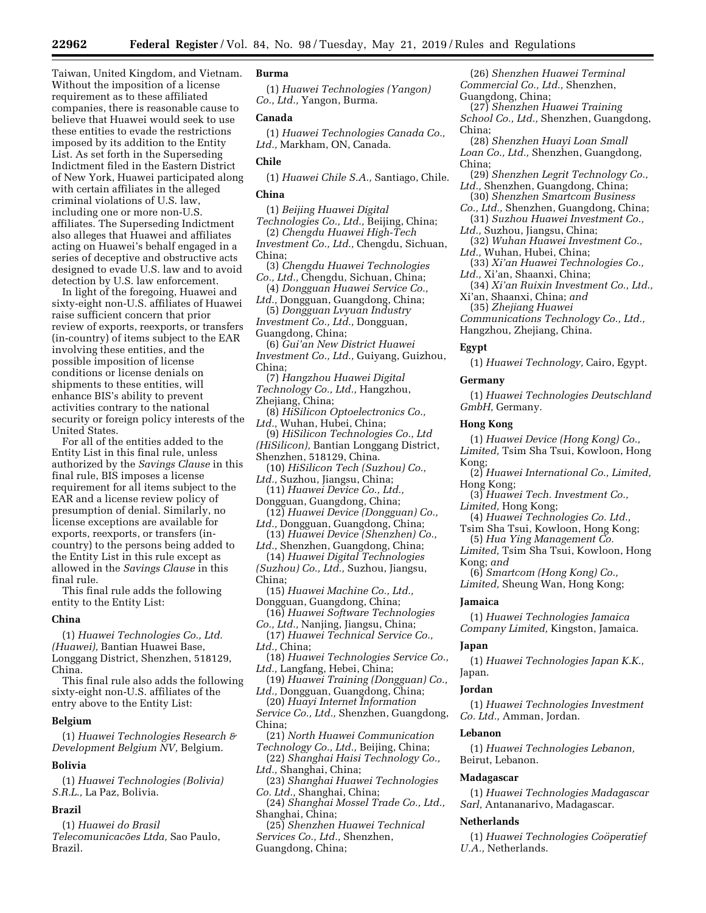Taiwan, United Kingdom, and Vietnam. Without the imposition of a license requirement as to these affiliated companies, there is reasonable cause to believe that Huawei would seek to use these entities to evade the restrictions imposed by its addition to the Entity List. As set forth in the Superseding Indictment filed in the Eastern District of New York, Huawei participated along with certain affiliates in the alleged criminal violations of U.S. law, including one or more non-U.S. affiliates. The Superseding Indictment also alleges that Huawei and affiliates acting on Huawei's behalf engaged in a series of deceptive and obstructive acts designed to evade U.S. law and to avoid detection by U.S. law enforcement.

In light of the foregoing, Huawei and sixty-eight non-U.S. affiliates of Huawei raise sufficient concern that prior review of exports, reexports, or transfers (in-country) of items subject to the EAR involving these entities, and the possible imposition of license conditions or license denials on shipments to these entities, will enhance BIS's ability to prevent activities contrary to the national security or foreign policy interests of the United States.

For all of the entities added to the Entity List in this final rule, unless authorized by the *Savings Clause* in this final rule, BIS imposes a license requirement for all items subject to the EAR and a license review policy of presumption of denial. Similarly, no license exceptions are available for exports, reexports, or transfers (incountry) to the persons being added to the Entity List in this rule except as allowed in the *Savings Clause* in this final rule.

This final rule adds the following entity to the Entity List:

### **China**

(1) *Huawei Technologies Co., Ltd. (Huawei),* Bantian Huawei Base, Longgang District, Shenzhen, 518129, China.

This final rule also adds the following sixty-eight non-U.S. affiliates of the entry above to the Entity List:

### **Belgium**

(1) *Huawei Technologies Research & Development Belgium NV,* Belgium.

### **Bolivia**

(1) *Huawei Technologies (Bolivia) S.R.L.,* La Paz, Bolivia.

# **Brazil**

(1) *Huawei do Brasil Telecomunicaco˜ es Ltda,* Sao Paulo, Brazil.

# **Burma**

(1) *Huawei Technologies (Yangon) Co., Ltd.,* Yangon, Burma.

#### **Canada**

(1) *Huawei Technologies Canada Co., Ltd.,* Markham, ON, Canada.

## **Chile**

(1) *Huawei Chile S.A.,* Santiago, Chile.

# **China**

(1) *Beijing Huawei Digital Technologies Co., Ltd.,* Beijing, China;

(2) *Chengdu Huawei High-Tech Investment Co., Ltd.,* Chengdu, Sichuan, China;

(3) *Chengdu Huawei Technologies Co., Ltd.,* Chengdu, Sichuan, China;

(4) *Dongguan Huawei Service Co.,* 

*Ltd.,* Dongguan, Guangdong, China; (5) *Dongguan Lvyuan Industry* 

- *Investment Co., Ltd.,* Dongguan, Guangdong, China;
- (6) *Gui'an New District Huawei*
- *Investment Co., Ltd.,* Guiyang, Guizhou, China;
- (7) *Hangzhou Huawei Digital Technology Co., Ltd.,* Hangzhou,

Zhejiang, China;

- (8) *HiSilicon Optoelectronics Co., Ltd.,* Wuhan, Hubei, China;
- (9) *HiSilicon Technologies Co., Ltd (HiSilicon),* Bantian Longgang District, Shenzhen, 518129, China.
- (10) *HiSilicon Tech (Suzhou) Co., Ltd.,* Suzhou, Jiangsu, China;
- (11) *Huawei Device Co., Ltd.,*  Dongguan, Guangdong, China;
- (12) *Huawei Device (Dongguan) Co.,*
- *Ltd.,* Dongguan, Guangdong, China; (13) *Huawei Device (Shenzhen) Co.,*
- *Ltd.,* Shenzhen, Guangdong, China; (14) *Huawei Digital Technologies (Suzhou) Co., Ltd.,* Suzhou, Jiangsu,
- China;
- (15) *Huawei Machine Co., Ltd.,*  Dongguan, Guangdong, China;

(16) *Huawei Software Technologies Co., Ltd.,* Nanjing, Jiangsu, China;

- (17) *Huawei Technical Service Co., Ltd.,* China;
- (18) *Huawei Technologies Service Co., Ltd.,* Langfang, Hebei, China;
- (19) *Huawei Training (Dongguan) Co., Ltd.,* Dongguan, Guangdong, China;
- (20) *Huayi Internet Information Service Co., Ltd.,* Shenzhen, Guangdong, China;
- (21) *North Huawei Communication Technology Co., Ltd.,* Beijing, China;
- (22) *Shanghai Haisi Technology Co., Ltd.,* Shanghai, China;
- (23) *Shanghai Huawei Technologies Co. Ltd.,* Shanghai, China;
- (24) *Shanghai Mossel Trade Co., Ltd.,*  Shanghai, China;

(25) *Shenzhen Huawei Technical Services Co., Ltd.,* Shenzhen, Guangdong, China;

(26) *Shenzhen Huawei Terminal Commercial Co., Ltd.,* Shenzhen, Guangdong, China;

(27) *Shenzhen Huawei Training School Co., Ltd.,* Shenzhen, Guangdong, China;

- (28) *Shenzhen Huayi Loan Small Loan Co., Ltd.,* Shenzhen, Guangdong, China;
- (29) *Shenzhen Legrit Technology Co., Ltd.,* Shenzhen, Guangdong, China;
- (30) *Shenzhen Smartcom Business Co., Ltd.,* Shenzhen, Guangdong, China;
- (31) *Suzhou Huawei Investment Co., Ltd.,* Suzhou, Jiangsu, China;
- (32) *Wuhan Huawei Investment Co., Ltd.,* Wuhan, Hubei, China;
- (33) *Xi'an Huawei Technologies Co.,*
- *Ltd.,* Xi'an, Shaanxi, China; (34) *Xi'an Ruixin Investment Co., Ltd.,*
- Xi'an, Shaanxi, China; *and*
- (35) *Zhejiang Huawei*

*Communications Technology Co., Ltd.,*  Hangzhou, Zhejiang, China.

# **Egypt**

(1) *Huawei Technology,* Cairo, Egypt.

### **Germany**

(1) *Huawei Technologies Deutschland GmbH,* Germany.

## **Hong Kong**

(1) *Huawei Device (Hong Kong) Co., Limited,* Tsim Sha Tsui, Kowloon, Hong Kong;

- (2) *Huawei International Co., Limited,*  Hong Kong;
- (3) *Huawei Tech. Investment Co., Limited,* Hong Kong;
- (4) *Huawei Technologies Co. Ltd.,*  Tsim Sha Tsui, Kowloon, Hong Kong;
- (5) *Hua Ying Management Co.*
- *Limited,* Tsim Sha Tsui, Kowloon, Hong Kong; *and*
- (6) *Smartcom (Hong Kong) Co., Limited,* Sheung Wan, Hong Kong;

### **Jamaica**

(1) *Huawei Technologies Jamaica Company Limited,* Kingston, Jamaica.

### **Japan**

(1) *Huawei Technologies Japan K.K.,*  Japan.

### **Jordan**

(1) *Huawei Technologies Investment Co. Ltd.,* Amman, Jordan.

### **Lebanon**

(1) *Huawei Technologies Lebanon,*  Beirut, Lebanon.

#### **Madagascar**

(1) *Huawei Technologies Madagascar Sarl,* Antananarivo, Madagascar.

## **Netherlands**

(1) *Huawei Technologies Coo¨peratief U.A.,* Netherlands.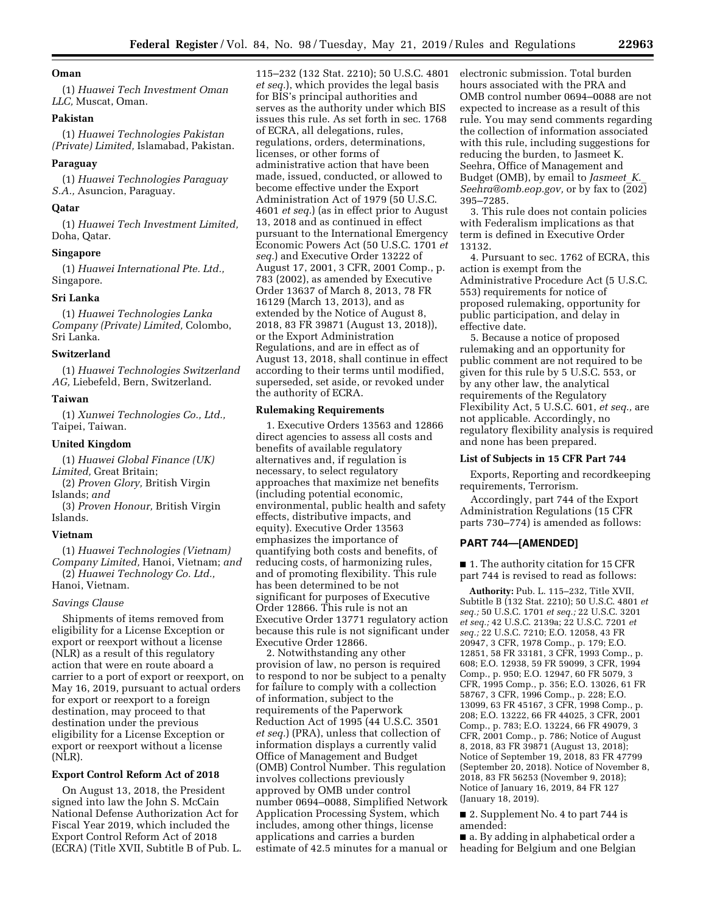## **Oman**

(1) *Huawei Tech Investment Oman LLC,* Muscat, Oman.

## **Pakistan**

(1) *Huawei Technologies Pakistan (Private) Limited,* Islamabad, Pakistan.

#### **Paraguay**

(1) *Huawei Technologies Paraguay S.A.,* Asuncion, Paraguay.

### **Qatar**

(1) *Huawei Tech Investment Limited,*  Doha, Qatar.

#### **Singapore**

(1) *Huawei International Pte. Ltd.,*  Singapore.

#### **Sri Lanka**

(1) *Huawei Technologies Lanka Company (Private) Limited,* Colombo, Sri Lanka.

### **Switzerland**

(1) *Huawei Technologies Switzerland AG,* Liebefeld, Bern, Switzerland.

### **Taiwan**

(1) *Xunwei Technologies Co., Ltd.,*  Taipei, Taiwan.

### **United Kingdom**

(1) *Huawei Global Finance (UK) Limited,* Great Britain;

(2) *Proven Glory,* British Virgin Islands; *and* 

(3) *Proven Honour,* British Virgin Islands.

### **Vietnam**

(1) *Huawei Technologies (Vietnam) Company Limited,* Hanoi, Vietnam; *and*  (2) *Huawei Technology Co. Ltd.,*  Hanoi, Vietnam.

## *Savings Clause*

Shipments of items removed from eligibility for a License Exception or export or reexport without a license (NLR) as a result of this regulatory action that were en route aboard a carrier to a port of export or reexport, on May 16, 2019, pursuant to actual orders for export or reexport to a foreign destination, may proceed to that destination under the previous eligibility for a License Exception or export or reexport without a license (NLR).

#### **Export Control Reform Act of 2018**

On August 13, 2018, the President signed into law the John S. McCain National Defense Authorization Act for Fiscal Year 2019, which included the Export Control Reform Act of 2018 (ECRA) (Title XVII, Subtitle B of Pub. L. 115–232 (132 Stat. 2210); 50 U.S.C. 4801 *et seq.*), which provides the legal basis for BIS's principal authorities and serves as the authority under which BIS issues this rule. As set forth in sec. 1768 of ECRA, all delegations, rules, regulations, orders, determinations, licenses, or other forms of administrative action that have been made, issued, conducted, or allowed to become effective under the Export Administration Act of 1979 (50 U.S.C. 4601 *et seq.*) (as in effect prior to August 13, 2018 and as continued in effect pursuant to the International Emergency Economic Powers Act (50 U.S.C. 1701 *et seq.*) and Executive Order 13222 of August 17, 2001, 3 CFR, 2001 Comp., p. 783 (2002), as amended by Executive Order 13637 of March 8, 2013, 78 FR 16129 (March 13, 2013), and as extended by the Notice of August 8, 2018, 83 FR 39871 (August 13, 2018)), or the Export Administration Regulations, and are in effect as of August 13, 2018, shall continue in effect according to their terms until modified, superseded, set aside, or revoked under the authority of ECRA.

### **Rulemaking Requirements**

1. Executive Orders 13563 and 12866 direct agencies to assess all costs and benefits of available regulatory alternatives and, if regulation is necessary, to select regulatory approaches that maximize net benefits (including potential economic, environmental, public health and safety effects, distributive impacts, and equity). Executive Order 13563 emphasizes the importance of quantifying both costs and benefits, of reducing costs, of harmonizing rules, and of promoting flexibility. This rule has been determined to be not significant for purposes of Executive Order 12866. This rule is not an Executive Order 13771 regulatory action because this rule is not significant under Executive Order 12866.

2. Notwithstanding any other provision of law, no person is required to respond to nor be subject to a penalty for failure to comply with a collection of information, subject to the requirements of the Paperwork Reduction Act of 1995 (44 U.S.C. 3501 *et seq.*) (PRA), unless that collection of information displays a currently valid Office of Management and Budget (OMB) Control Number. This regulation involves collections previously approved by OMB under control number 0694–0088, Simplified Network Application Processing System, which includes, among other things, license applications and carries a burden estimate of 42.5 minutes for a manual or electronic submission. Total burden hours associated with the PRA and OMB control number 0694–0088 are not expected to increase as a result of this rule. You may send comments regarding the collection of information associated with this rule, including suggestions for reducing the burden, to Jasmeet K. Seehra, Office of Management and Budget (OMB), by email to *[Jasmeet](mailto:Jasmeet_K._Seehra@omb.eop.gov)*\_*K.*\_ *[Seehra@omb.eop.gov,](mailto:Jasmeet_K._Seehra@omb.eop.gov) or by fax to* (202) 395–7285.

3. This rule does not contain policies with Federalism implications as that term is defined in Executive Order 13132.

4. Pursuant to sec. 1762 of ECRA, this action is exempt from the Administrative Procedure Act (5 U.S.C. 553) requirements for notice of proposed rulemaking, opportunity for public participation, and delay in effective date.

5. Because a notice of proposed rulemaking and an opportunity for public comment are not required to be given for this rule by 5 U.S.C. 553, or by any other law, the analytical requirements of the Regulatory Flexibility Act, 5 U.S.C. 601, *et seq.,* are not applicable. Accordingly, no regulatory flexibility analysis is required and none has been prepared.

### **List of Subjects in 15 CFR Part 744**

Exports, Reporting and recordkeeping requirements, Terrorism.

Accordingly, part 744 of the Export Administration Regulations (15 CFR parts 730–774) is amended as follows:

### **PART 744—[AMENDED]**

■ 1. The authority citation for 15 CFR part 744 is revised to read as follows:

**Authority:** Pub. L. 115–232, Title XVII, Subtitle B (132 Stat. 2210); 50 U.S.C. 4801 *et seq.;* 50 U.S.C. 1701 *et seq.;* 22 U.S.C. 3201 *et seq.;* 42 U.S.C. 2139a; 22 U.S.C. 7201 *et seq.;* 22 U.S.C. 7210; E.O. 12058, 43 FR 20947, 3 CFR, 1978 Comp., p. 179; E.O. 12851, 58 FR 33181, 3 CFR, 1993 Comp., p. 608; E.O. 12938, 59 FR 59099, 3 CFR, 1994 Comp., p. 950; E.O. 12947, 60 FR 5079, 3 CFR, 1995 Comp., p. 356; E.O. 13026, 61 FR 58767, 3 CFR, 1996 Comp., p. 228; E.O. 13099, 63 FR 45167, 3 CFR, 1998 Comp., p. 208; E.O. 13222, 66 FR 44025, 3 CFR, 2001 Comp., p. 783; E.O. 13224, 66 FR 49079, 3 CFR, 2001 Comp., p. 786; Notice of August 8, 2018, 83 FR 39871 (August 13, 2018); Notice of September 19, 2018, 83 FR 47799 (September 20, 2018). Notice of November 8, 2018, 83 FR 56253 (November 9, 2018); Notice of January 16, 2019, 84 FR 127 (January 18, 2019).

■ 2. Supplement No. 4 to part 744 is amended:

■ a. By adding in alphabetical order a heading for Belgium and one Belgian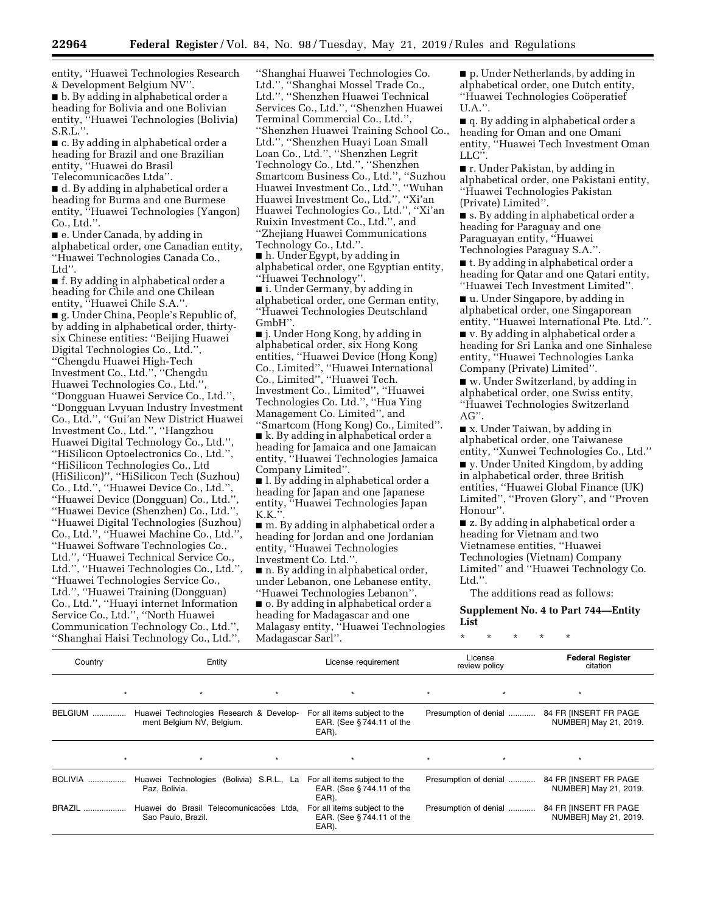entity, ''Huawei Technologies Research & Development Belgium NV''. ■ b. By adding in alphabetical order a

heading for Bolivia and one Bolivian entity, ''Huawei Technologies (Bolivia) S.R.L.''.

■ c. By adding in alphabetical order a heading for Brazil and one Brazilian entity, ''Huawei do Brasil Telecomunicacões Ltda".

■ d. By adding in alphabetical order a heading for Burma and one Burmese entity, ''Huawei Technologies (Yangon) Co., Ltd.''.

■ e. Under Canada, by adding in alphabetical order, one Canadian entity, ''Huawei Technologies Canada Co., Ltd''.

■ f. By adding in alphabetical order a heading for Chile and one Chilean entity, ''Huawei Chile S.A.''.

■ g. Under China, People's Republic of, by adding in alphabetical order, thirtysix Chinese entities: ''Beijing Huawei Digital Technologies Co., Ltd.'', ''Chengdu Huawei High-Tech Investment Co., Ltd.'', ''Chengdu Huawei Technologies Co., Ltd.'', ''Dongguan Huawei Service Co., Ltd.'', ''Dongguan Lvyuan Industry Investment Co., Ltd.'', ''Gui'an New District Huawei Investment Co., Ltd.'', ''Hangzhou Huawei Digital Technology Co., Ltd.'', ''HiSilicon Optoelectronics Co., Ltd.'', ''HiSilicon Technologies Co., Ltd (HiSilicon)'', ''HiSilicon Tech (Suzhou) Co., Ltd.'', ''Huawei Device Co., Ltd.'', ''Huawei Device (Dongguan) Co., Ltd.'', ''Huawei Device (Shenzhen) Co., Ltd.'', ''Huawei Digital Technologies (Suzhou) Co., Ltd.'', ''Huawei Machine Co., Ltd.'', ''Huawei Software Technologies Co., Ltd.'', ''Huawei Technical Service Co., Ltd.'', ''Huawei Technologies Co., Ltd.'', ''Huawei Technologies Service Co., Ltd.'', ''Huawei Training (Dongguan) Co., Ltd.'', ''Huayi internet Information Service Co., Ltd.'', ''North Huawei Communication Technology Co., Ltd.'', ''Shanghai Haisi Technology Co., Ltd.'',

''Shanghai Huawei Technologies Co. Ltd.'', ''Shanghai Mossel Trade Co., Ltd.'', ''Shenzhen Huawei Technical Services Co., Ltd.'', ''Shenzhen Huawei Terminal Commercial Co., Ltd.'', ''Shenzhen Huawei Training School Co., Ltd.'', ''Shenzhen Huayi Loan Small Loan Co., Ltd.'', ''Shenzhen Legrit Technology Co., Ltd.'', ''Shenzhen Smartcom Business Co., Ltd.'', ''Suzhou Huawei Investment Co., Ltd.'', ''Wuhan Huawei Investment Co., Ltd.'', "Xi'an Huawei Technologies Co., Ltd.'', ''Xi'an Ruixin Investment Co., Ltd.'', and ''Zhejiang Huawei Communications Technology Co., Ltd.''.

■ h. Under Egypt, by adding in alphabetical order, one Egyptian entity, ''Huawei Technology''.

■ i. Under Germany, by adding in alphabetical order, one German entity, ''Huawei Technologies Deutschland GmbH''.

■ j. Under Hong Kong, by adding in alphabetical order, six Hong Kong entities, ''Huawei Device (Hong Kong) Co., Limited'', ''Huawei International Co., Limited'', ''Huawei Tech. Investment Co., Limited'', ''Huawei Technologies Co. Ltd.'', ''Hua Ying Management Co. Limited'', and ''Smartcom (Hong Kong) Co., Limited''.

■ k. By adding in alphabetical order a heading for Jamaica and one Jamaican entity, ''Huawei Technologies Jamaica Company Limited''.

■ l. By adding in alphabetical order a heading for Japan and one Japanese entity, ''Huawei Technologies Japan  $K.K.''$ 

■ m. By adding in alphabetical order a heading for Jordan and one Jordanian entity, ''Huawei Technologies Investment Co. Ltd."

■ n. By adding in alphabetical order, under Lebanon, one Lebanese entity, ''Huawei Technologies Lebanon''.

■ o. By adding in alphabetical order a heading for Madagascar and one Malagasy entity, ''Huawei Technologies Madagascar Sarl''.

■ p. Under Netherlands, by adding in alphabetical order, one Dutch entity, "Huawei Technologies Coöperatief U.A.''.

■ q. By adding in alphabetical order a heading for Oman and one Omani entity, ''Huawei Tech Investment Oman LLC''.

■ r. Under Pakistan, by adding in alphabetical order, one Pakistani entity, ''Huawei Technologies Pakistan (Private) Limited''.

■ s. By adding in alphabetical order a heading for Paraguay and one Paraguayan entity, ''Huawei Technologies Paraguay S.A.''.

■ t. By adding in alphabetical order a heading for Qatar and one Qatari entity, ''Huawei Tech Investment Limited''.

■ u. Under Singapore, by adding in alphabetical order, one Singaporean entity, ''Huawei International Pte. Ltd.''.

■ v. By adding in alphabetical order a heading for Sri Lanka and one Sinhalese entity, ''Huawei Technologies Lanka Company (Private) Limited''.

■ w. Under Switzerland, by adding in alphabetical order, one Swiss entity, ''Huawei Technologies Switzerland AG''.

■ x. Under Taiwan, by adding in alphabetical order, one Taiwanese entity, ''Xunwei Technologies Co., Ltd.''

■ y. Under United Kingdom, by adding in alphabetical order, three British entities, ''Huawei Global Finance (UK) Limited'', ''Proven Glory'', and ''Proven Honour''.

■ z. By adding in alphabetical order a heading for Vietnam and two Vietnamese entities, ''Huawei Technologies (Vietnam) Company Limited'' and ''Huawei Technology Co. Ltd.".

The additions read as follows:

\* \* \* \* \*

**Supplement No. 4 to Part 744—Entity List** 

| Country         | Entity                                                               |         | License requirement                                               | License<br>review policy | <b>Federal Register</b><br>citation<br>$\star$ |  |
|-----------------|----------------------------------------------------------------------|---------|-------------------------------------------------------------------|--------------------------|------------------------------------------------|--|
| $\star$         | $\star$                                                              | $\star$ | $\star$                                                           | $\star$<br>$\star$       |                                                |  |
| BELGIUM         | Huawei Technologies Research & Develop-<br>ment Belgium NV, Belgium. |         | For all items subject to the<br>EAR. (See §744.11 of the<br>EAR). | Presumption of denial    | 84 FR [INSERT FR PAGE<br>NUMBER] May 21, 2019. |  |
| $\star$         | $\star$                                                              | $\star$ | $\star$                                                           | $\star$<br>$\star$       | $\star$                                        |  |
| <b>BOLIVIA </b> | Huawei Technologies (Bolivia) S.R.L., La<br>Paz, Bolivia.            |         | For all items subject to the<br>EAR. (See §744.11 of the<br>EAR). | Presumption of denial    | 84 FR IINSERT FR PAGE<br>NUMBER] May 21, 2019. |  |
| <b>BRAZIL</b>   | Huawei do Brasil Telecomunicações Ltda,<br>Sao Paulo, Brazil.        |         | For all items subject to the<br>EAR. (See §744.11 of the<br>EAR). | Presumption of denial    | 84 FR [INSERT FR PAGE<br>NUMBER] May 21, 2019. |  |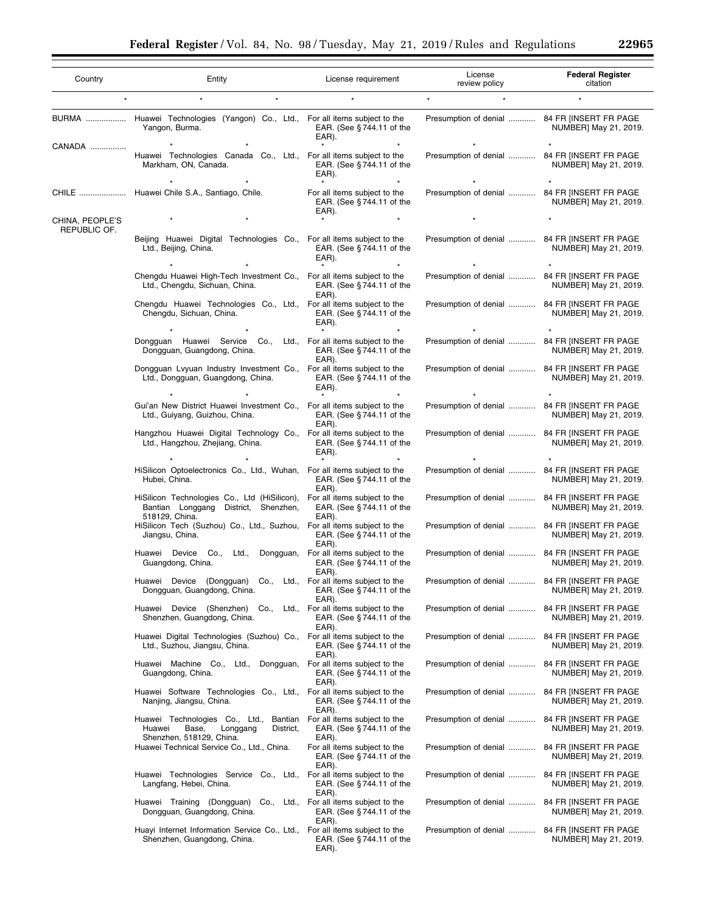|  | 22965 |  |
|--|-------|--|

| Country                         | Entity                                                                                                                                      | License requirement                                                            | License<br>review policy                     | <b>Federal Register</b><br>citation |
|---------------------------------|---------------------------------------------------------------------------------------------------------------------------------------------|--------------------------------------------------------------------------------|----------------------------------------------|-------------------------------------|
|                                 |                                                                                                                                             |                                                                                | $\star$<br>$\star$                           |                                     |
|                                 | BURMA  Huawei Technologies (Yangon) Co., Ltd., For all items subject to the<br>Yangon, Burma.                                               | EAR. (See $§744.11$ of the<br>EAR).                                            | Presumption of denial  84 FR [INSERT FR PAGE | NUMBER] May 21, 2019.               |
| CANADA                          | Huawei Technologies Canada Co., Ltd., For all items subject to the<br>Markham, ON, Canada.                                                  | EAR. (See $§744.11$ of the<br>EAR).<br>$\star$                                 | Presumption of denial  84 FR [INSERT FR PAGE | NUMBER] May 21, 2019.               |
|                                 | CHILE  Huawei Chile S.A., Santiago, Chile.                                                                                                  | For all items subject to the<br>EAR. (See §744.11 of the<br>EAR).              | Presumption of denial  84 FR [INSERT FR PAGE | NUMBER] May 21, 2019.               |
| CHINA, PEOPLE'S<br>REPUBLIC OF. |                                                                                                                                             |                                                                                |                                              |                                     |
|                                 | Beijing Huawei Digital Technologies Co., For all items subject to the<br>Ltd., Beijing, China.                                              | EAR. (See $§744.11$ of the<br>EAR).                                            | Presumption of denial  84 FR [INSERT FR PAGE | NUMBER] May 21, 2019.               |
|                                 | Chengdu Huawei High-Tech Investment Co., For all items subject to the<br>Ltd., Chengdu, Sichuan, China.                                     | EAR. (See $§744.11$ of the<br>EAR).                                            | Presumption of denial  84 FR [INSERT FR PAGE | NUMBER] May 21, 2019.               |
|                                 | Chengdu Huawei Technologies Co., Ltd., For all items subject to the<br>Chengdu, Sichuan, China.                                             | EAR. (See $§744.11$ of the<br>EAR).                                            | Presumption of denial  84 FR [INSERT FR PAGE | NUMBER] May 21, 2019.               |
|                                 | Dongquan Huawei Service Co., Ltd., For all items subject to the<br>Dongguan, Guangdong, China.                                              | EAR. (See §744.11 of the<br>EAR).                                              | Presumption of denial  84 FR [INSERT FR PAGE | NUMBER] May 21, 2019.               |
|                                 | Dongguan Lyyuan Industry Investment Co., For all items subject to the<br>Ltd., Dongguan, Guangdong, China.                                  | EAR. (See $§$ 744.11 of the<br>EAR).                                           | Presumption of denial  84 FR [INSERT FR PAGE | NUMBER] May 21, 2019.               |
|                                 | Gui'an New District Huawei Investment Co., For all items subject to the<br>Ltd., Guiyang, Guizhou, China.                                   | EAR. (See $§744.11$ of the<br>EAR).                                            | Presumption of denial  84 FR [INSERT FR PAGE | NUMBER] May 21, 2019.               |
|                                 | Hangzhou Huawei Digital Technology Co., For all items subject to the<br>Ltd., Hangzhou, Zhejiang, China.                                    | EAR. (See $§$ 744.11 of the<br>EAR).                                           | Presumption of denial  84 FR [INSERT FR PAGE | NUMBER] May 21, 2019.               |
|                                 | HiSilicon Optoelectronics Co., Ltd., Wuhan, For all items subject to the<br>Hubei, China.                                                   | EAR. (See §744.11 of the<br>EAR).                                              | Presumption of denial  84 FR [INSERT FR PAGE | NUMBER] May 21, 2019.               |
|                                 | HiSilicon Technologies Co., Ltd (HiSilicon),<br>Bantian Longgang District, Shenzhen,<br>518129, China.                                      | For all items subject to the<br>EAR. (See §744.11 of the<br>EAR).              | Presumption of denial  84 FR [INSERT FR PAGE | NUMBER] May 21, 2019.               |
|                                 | HiSilicon Tech (Suzhou) Co., Ltd., Suzhou, For all items subject to the<br>Jiangsu, China.                                                  | EAR. (See §744.11 of the<br>EAR).                                              | Presumption of denial  84 FR [INSERT FR PAGE | NUMBER] May 21, 2019.               |
|                                 | Huawei Device Co<br>Ltd.,<br>Guangdong, China.                                                                                              | Dongquan, For all items subject to the<br>EAR. (See $§$ 744.11 of the<br>EAR). | Presumption of denial  84 FR [INSERT FR PAGE | NUMBER] May 21, 2019.               |
|                                 | Huawei Device (Dongguan) Co.,<br>Ltd.,<br>Dongquan, Guangdong, China.                                                                       | For all items subject to the<br>EAR. (See §744.11 of the<br>EAR).              | Presumption of denial  84 FR [INSERT FR PAGE | NUMBER] May 21, 2019.               |
|                                 | Huawei Device (Shenzhen) Co., Ltd., For all items subject to the<br>Shenzhen, Guangdong, China.                                             | EAR. (See §744.11 of the<br>EAR).                                              | Presumption of denial  84 FR [INSERT FR PAGE | NUMBER] May 21, 2019.               |
|                                 | Huawei Digital Technologies (Suzhou) Co., For all items subject to the<br>Ltd., Suzhou, Jiangsu, China.                                     | EAR. (See §744.11 of the<br>EAR).                                              | Presumption of denial  84 FR [INSERT FR PAGE | NUMBER] May 21, 2019.               |
|                                 | Huawei Machine Co., Ltd., Dongguan, For all items subject to the<br>Guangdong, China.                                                       | EAR. (See §744.11 of the<br>EAR).                                              | Presumption of denial  84 FR [INSERT FR PAGE | NUMBER] May 21, 2019.               |
|                                 | Huawei Software Technologies Co., Ltd., For all items subject to the<br>Nanjing, Jiangsu, China.                                            | EAR. (See §744.11 of the<br>EAR).                                              | Presumption of denial  84 FR [INSERT FR PAGE | NUMBER] May 21, 2019.               |
|                                 | Huawei Technologies Co., Ltd., Bantian For all items subject to the<br>Huawei<br>Base,<br>Longgang<br>District,<br>Shenzhen, 518129, China. | EAR. (See §744.11 of the<br>EAR).                                              | Presumption of denial  84 FR [INSERT FR PAGE | NUMBER] May 21, 2019.               |
|                                 | Huawei Technical Service Co., Ltd., China.                                                                                                  | For all items subject to the<br>EAR. (See $§$ 744.11 of the<br>EAR).           | Presumption of denial  84 FR [INSERT FR PAGE | NUMBER] May 21, 2019.               |
|                                 | Huawei Technologies Service Co., Ltd., For all items subject to the<br>Langfang, Hebei, China.                                              | EAR. (See $§$ 744.11 of the<br>EAR).                                           | Presumption of denial  84 FR [INSERT FR PAGE | NUMBER] May 21, 2019.               |
|                                 | Huawei Training (Dongguan) Co., Ltd., For all items subject to the<br>Dongguan, Guangdong, China.                                           | EAR. (See $§$ 744.11 of the<br>EAR).                                           | Presumption of denial  84 FR [INSERT FR PAGE | NUMBER] May 21, 2019.               |
|                                 | Huayi Internet Information Service Co., Ltd., For all items subject to the<br>Shenzhen, Guangdong, China.                                   | EAR. (See $§$ 744.11 of the<br>EAR).                                           | Presumption of denial  84 FR [INSERT FR PAGE | NUMBER] May 21, 2019.               |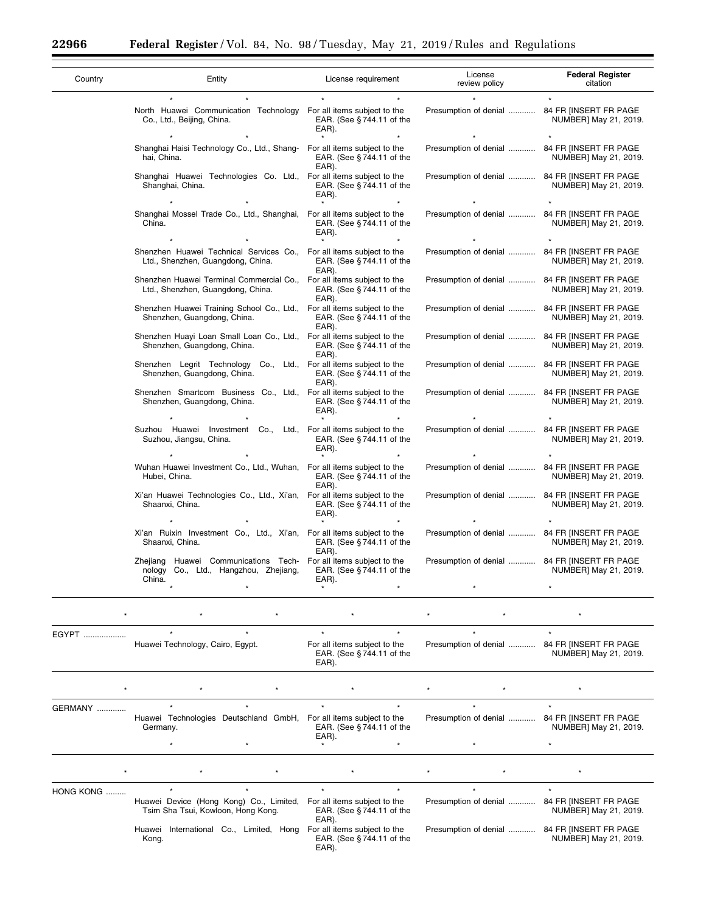$\equiv$ 

Ξ

| Country | Entity                                                                                                               | License requirement                  | License<br>review policy                     | <b>Federal Register</b><br>citation |
|---------|----------------------------------------------------------------------------------------------------------------------|--------------------------------------|----------------------------------------------|-------------------------------------|
|         |                                                                                                                      |                                      |                                              |                                     |
|         | North Huawei Communication Technology For all items subject to the<br>Co., Ltd., Beijing, China.                     | EAR. (See §744.11 of the<br>EAR).    | Presumption of denial  84 FR [INSERT FR PAGE | NUMBER] May 21, 2019.               |
|         |                                                                                                                      |                                      |                                              |                                     |
|         | Shanghai Haisi Technology Co., Ltd., Shang- For all items subject to the<br>hai. China.                              | EAR. (See §744.11 of the<br>EAR).    | Presumption of denial  84 FR [INSERT FR PAGE | NUMBER] May 21, 2019.               |
|         | Shanghai Huawei Technologies Co. Ltd., For all items subject to the<br>Shanghai, China.                              | EAR. (See §744.11 of the<br>EAR).    | Presumption of denial  84 FR [INSERT FR PAGE | NUMBER] May 21, 2019.               |
|         |                                                                                                                      |                                      |                                              |                                     |
|         | Shanghai Mossel Trade Co., Ltd., Shanghai, For all items subject to the<br>China.                                    | EAR. (See §744.11 of the<br>EAR).    | Presumption of denial  84 FR [INSERT FR PAGE | NUMBER] May 21, 2019.               |
|         |                                                                                                                      |                                      |                                              |                                     |
|         | Shenzhen Huawei Technical Services Co., For all items subject to the<br>Ltd., Shenzhen, Guangdong, China.            | EAR. (See §744.11 of the<br>EAR).    | Presumption of denial  84 FR [INSERT FR PAGE | NUMBER] May 21, 2019.               |
|         | Shenzhen Huawei Terminal Commercial Co., For all items subject to the<br>Ltd., Shenzhen, Guangdong, China.           | EAR. (See $§744.11$ of the<br>EAR).  | Presumption of denial  84 FR [INSERT FR PAGE | NUMBER] May 21, 2019.               |
|         | Shenzhen Huawei Training School Co., Ltd., For all items subject to the<br>Shenzhen, Guangdong, China.               | EAR. (See § 744.11 of the<br>EAR).   | Presumption of denial  84 FR [INSERT FR PAGE | NUMBER] May 21, 2019.               |
|         | Shenzhen Huayi Loan Small Loan Co., Ltd., For all items subject to the<br>Shenzhen, Guangdong, China.                | EAR. (See §744.11 of the<br>EAR).    | Presumption of denial  84 FR [INSERT FR PAGE | NUMBER] May 21, 2019.               |
|         | Shenzhen Legrit Technology Co., Ltd., For all items subject to the<br>Shenzhen, Guangdong, China.                    | EAR. (See §744.11 of the<br>EAR).    | Presumption of denial  84 FR [INSERT FR PAGE | NUMBER] May 21, 2019.               |
|         | Shenzhen Smartcom Business Co., Ltd., For all items subject to the<br>Shenzhen, Guangdong, China.                    | EAR. (See § 744.11 of the<br>EAR).   | Presumption of denial  84 FR [INSERT FR PAGE | NUMBER] May 21, 2019.               |
|         |                                                                                                                      |                                      |                                              |                                     |
|         | Suzhou Huawei Investment Co., Ltd., For all items subject to the<br>Suzhou, Jiangsu, China.                          | EAR. (See §744.11 of the<br>EAR).    | Presumption of denial  84 FR [INSERT FR PAGE | NUMBER] May 21, 2019.               |
|         |                                                                                                                      |                                      |                                              |                                     |
|         | Wuhan Huawei Investment Co., Ltd., Wuhan, For all items subject to the<br>Hubei, China.                              | EAR. (See $§$ 744.11 of the<br>EAR). | Presumption of denial  84 FR [INSERT FR PAGE | NUMBER] May 21, 2019.               |
|         | Xi'an Huawei Technologies Co., Ltd., Xi'an, For all items subject to the<br>Shaanxi, China.                          | EAR. (See § 744.11 of the<br>EAR).   | Presumption of denial  84 FR [INSERT FR PAGE | NUMBER] May 21, 2019.               |
|         |                                                                                                                      |                                      |                                              |                                     |
|         | Xi'an Ruixin Investment Co., Ltd., Xi'an, For all items subject to the<br>Shaanxi, China.                            | EAR. (See §744.11 of the<br>EAR).    | Presumption of denial  84 FR [INSERT FR PAGE | NUMBER] May 21, 2019.               |
|         | Zhejiang Huawei Communications Tech- For all items subject to the<br>nology Co., Ltd., Hangzhou, Zhejiang,<br>China. | EAR. (See §744.11 of the<br>EAR).    | Presumption of denial  84 FR [INSERT FR PAGE | NUMBER] May 21, 2019.               |
|         | $\star$                                                                                                              | $\bullet$<br>$\star$                 | ¥                                            |                                     |

| EGYPT          |                 | Huawei Technology, Cairo, Egypt. | $\star$                                                                       |         | $\star$<br>EAR). | $\star$<br>For all items subject to the<br>EAR. (See $§$ 744.11 of the | $\star$<br>Presumption of denial | $\star$<br>84 FR INSERT FR PAGE<br>NUMBER] May 21, 2019. |  |
|----------------|-----------------|----------------------------------|-------------------------------------------------------------------------------|---------|------------------|------------------------------------------------------------------------|----------------------------------|----------------------------------------------------------|--|
| $\star$        |                 |                                  |                                                                               |         |                  |                                                                        |                                  |                                                          |  |
| <b>GERMANY</b> |                 |                                  |                                                                               |         |                  |                                                                        | $\star$                          |                                                          |  |
|                | Germany.        |                                  | Huawei Technologies Deutschland GmbH,                                         |         | EAR).            | For all items subject to the<br>EAR. (See $§744.11$ of the             | Presumption of denial            | 84 FR IINSERT FR PAGE<br>NUMBER] May 21, 2019.           |  |
|                |                 |                                  |                                                                               |         |                  | $\star$                                                                | $\star$                          |                                                          |  |
| $\star$        |                 |                                  |                                                                               | $\star$ |                  |                                                                        |                                  |                                                          |  |
| HONG KONG      |                 | $\star$                          | $\star$                                                                       |         | $\star$          | $\star$                                                                | $\star$                          | $\star$                                                  |  |
|                |                 |                                  | Huawei Device (Hong Kong) Co., Limited,<br>Tsim Sha Tsui, Kowloon, Hong Kong. |         | EAR).            | For all items subject to the<br>EAR. (See $§744.11$ of the             | Presumption of denial            | 84 FR INSERT FR PAGE<br>NUMBER] May 21, 2019.            |  |
|                | Huawei<br>Kong. |                                  | International Co., Limited, Hong                                              |         | EAR).            | For all items subject to the<br>EAR. (See $§744.11$ of the             | Presumption of denial            | 84 FR IINSERT FR PAGE<br>NUMBER] May 21, 2019.           |  |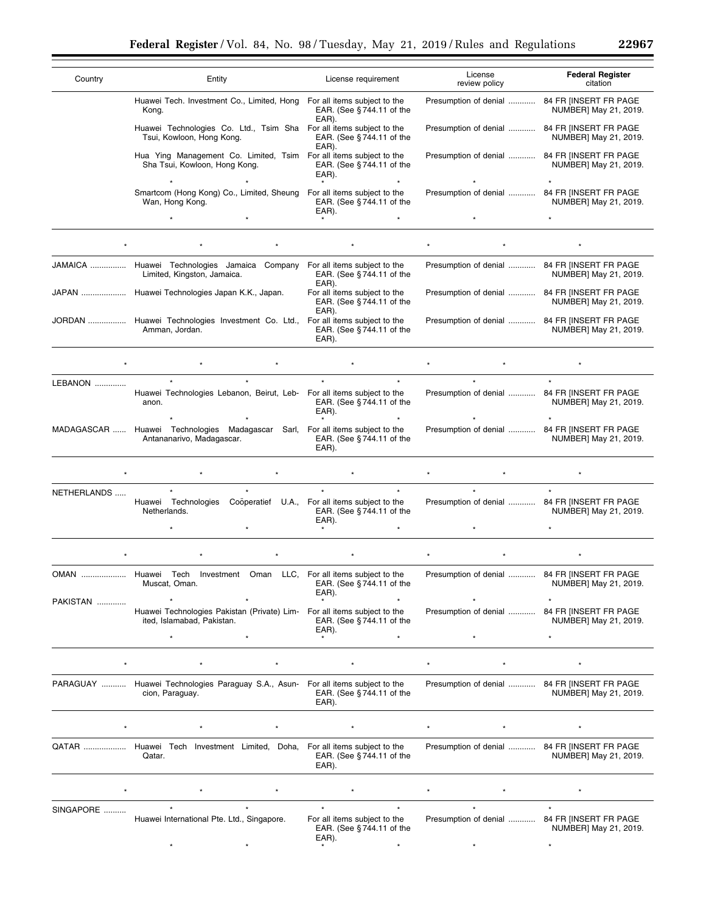| 296<br>л |  |
|----------|--|
|----------|--|

۰

| Country     | Entity                                                                                                     | License requirement                                                                               | License<br>review policy                     | <b>Federal Register</b><br>citation                       |
|-------------|------------------------------------------------------------------------------------------------------------|---------------------------------------------------------------------------------------------------|----------------------------------------------|-----------------------------------------------------------|
|             | Huawei Tech. Investment Co., Limited, Hong For all items subject to the<br>Kong.                           | EAR. (See $§744.11$ of the<br>EAR).                                                               | Presumption of denial  84 FR [INSERT FR PAGE | NUMBER] May 21, 2019.                                     |
|             | Huawei Technologies Co. Ltd., Tsim Sha For all items subject to the<br>Tsui, Kowloon, Hong Kong.           | EAR. (See §744.11 of the<br>EAR).                                                                 | Presumption of denial  84 FR [INSERT FR PAGE | NUMBER] May 21, 2019.                                     |
|             | Hua Ying Management Co. Limited, Tsim For all items subject to the<br>Sha Tsui, Kowloon, Hong Kong.        | EAR. (See §744.11 of the<br>EAR).                                                                 | Presumption of denial  84 FR [INSERT FR PAGE | NUMBER] May 21, 2019.                                     |
|             | Smartcom (Hong Kong) Co., Limited, Sheung  For all items subject to the<br>Wan, Hong Kong.<br>$\star$      | EAR. (See §744.11 of the<br>EAR).                                                                 | Presumption of denial                        | 84 FR [INSERT FR PAGE<br>NUMBER] May 21, 2019.<br>$\star$ |
|             |                                                                                                            |                                                                                                   |                                              |                                                           |
|             | JAMAICA  Huawei Technologies Jamaica Company<br>Limited, Kingston, Jamaica.                                | For all items subject to the<br>EAR. (See §744.11 of the                                          | Presumption of denial  84 FR [INSERT FR PAGE | NUMBER] May 21, 2019.                                     |
|             | JAPAN  Huawei Technologies Japan K.K., Japan.                                                              | EAR).<br>For all items subject to the<br>EAR. (See §744.11 of the                                 | Presumption of denial  84 FR [INSERT FR PAGE | NUMBER] May 21, 2019.                                     |
|             | JORDAN  Huawei Technologies Investment Co. Ltd.,<br>Amman. Jordan.                                         | EAR).<br>For all items subject to the<br>EAR. (See §744.11 of the<br>EAR).                        | Presumption of denial  84 FR [INSERT FR PAGE | NUMBER] May 21, 2019.                                     |
|             |                                                                                                            |                                                                                                   |                                              |                                                           |
| LEBANON     | Huawei Technologies Lebanon, Beirut, Leb- For all items subject to the<br>anon.                            | EAR. (See §744.11 of the<br>EAR).                                                                 | Presumption of denial  84 FR [INSERT FR PAGE | NUMBER] May 21, 2019.                                     |
|             | MADAGASCAR  Huawei Technologies Madagascar Sarl, For all items subject to the<br>Antananarivo, Madagascar. | EAR. (See §744.11 of the<br>EAR).                                                                 | Presumption of denial  84 FR [INSERT FR PAGE | NUMBER] May 21, 2019.                                     |
|             |                                                                                                            |                                                                                                   |                                              |                                                           |
| NETHERLANDS | Huawei Technologies<br>Netherlands.                                                                        | $\star$<br>Cooperatief U.A., For all items subject to the<br>EAR. (See $§$ 744.11 of the<br>EAR). | Presumption of denial                        | 84 FR IINSERT FR PAGE<br>NUMBER] May 21, 2019.            |
|             |                                                                                                            |                                                                                                   |                                              |                                                           |
|             | OMAN  Huawei Tech Investment Oman LLC, For all items subject to the<br>Muscat, Oman.                       | EAR. (See $\S 744.11$ of the<br>EAR).                                                             | Presumption of denial  84 FR [INSERT FR PAGE | NUMBER] May 21, 2019.                                     |
| PAKISTAN    | Huawei Technologies Pakistan (Private) Lim- For all items subject to the<br>ited, Islamabad, Pakistan.     | EAR. (See §744.11 of the<br>EAR).                                                                 | Presumption of denial                        | 84 FR [INSERT FR PAGE<br>NUMBER] May 21, 2019.            |
|             |                                                                                                            |                                                                                                   |                                              |                                                           |
|             | PARAGUAY  Huawei Technologies Paraguay S.A., Asun- For all items subject to the<br>cion, Paraguay.         | EAR. (See §744.11 of the<br>EAR).                                                                 | Presumption of denial  84 FR [INSERT FR PAGE | NUMBER] May 21, 2019.                                     |
|             |                                                                                                            |                                                                                                   |                                              |                                                           |
|             | QATAR  Huawei Tech Investment Limited, Doha, For all items subject to the<br>Qatar.                        | EAR. (See §744.11 of the<br>EAR).                                                                 | Presumption of denial  84 FR [INSERT FR PAGE | NUMBER] May 21, 2019.                                     |
|             |                                                                                                            |                                                                                                   |                                              |                                                           |
| SINGAPORE   | Huawei International Pte. Ltd., Singapore.                                                                 | For all items subject to the<br>EAR. (See §744.11 of the<br>EAR).                                 | Presumption of denial  84 FR [INSERT FR PAGE | NUMBER] May 21, 2019.                                     |